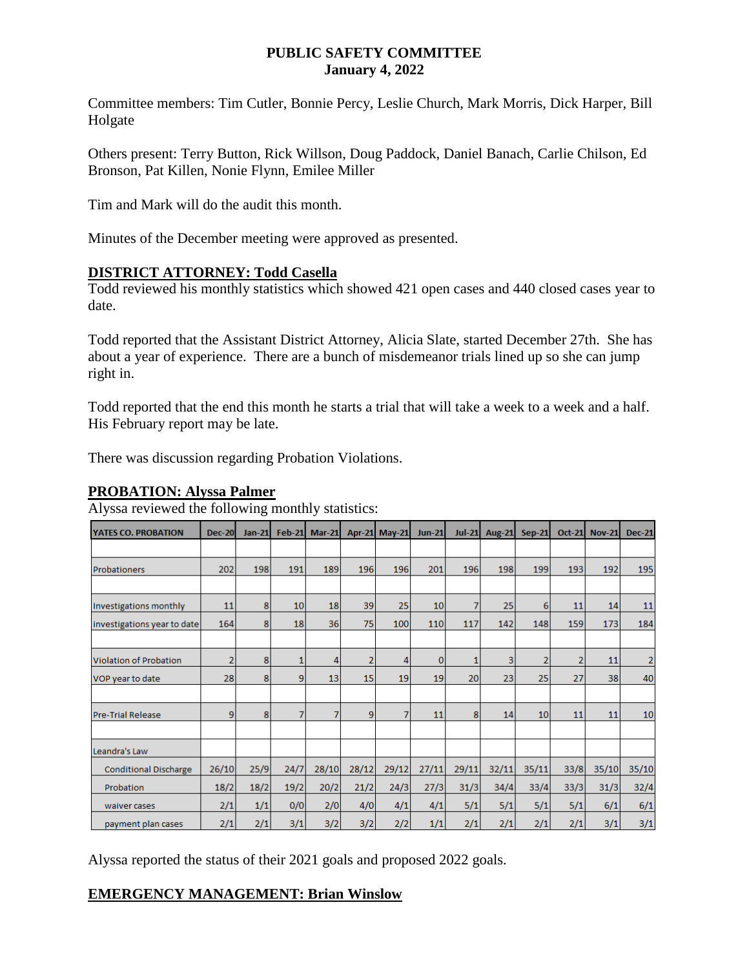#### **PUBLIC SAFETY COMMITTEE January 4, 2022**

Committee members: Tim Cutler, Bonnie Percy, Leslie Church, Mark Morris, Dick Harper, Bill Holgate

Others present: Terry Button, Rick Willson, Doug Paddock, Daniel Banach, Carlie Chilson, Ed Bronson, Pat Killen, Nonie Flynn, Emilee Miller

Tim and Mark will do the audit this month.

Minutes of the December meeting were approved as presented.

## **DISTRICT ATTORNEY: Todd Casella**

Todd reviewed his monthly statistics which showed 421 open cases and 440 closed cases year to date.

Todd reported that the Assistant District Attorney, Alicia Slate, started December 27th. She has about a year of experience. There are a bunch of misdemeanor trials lined up so she can jump right in.

Todd reported that the end this month he starts a trial that will take a week to a week and a half. His February report may be late.

There was discussion regarding Probation Violations.

### **PROBATION: Alyssa Palmer**

Alyssa reviewed the following monthly statistics:

| YATES CO. PROBATION          | <b>Dec-20</b>  | <b>Jan-21</b> | <b>Feb-21</b> | <b>Mar-21</b> |                | <b>Apr-21 May-21</b> | <b>Jun-21</b>   | $Jul-21$ | <b>Aug-21</b> | <b>Sep-21</b>  | <b>Oct-21</b> | <b>Nov-21</b> | <b>Dec-21</b> |
|------------------------------|----------------|---------------|---------------|---------------|----------------|----------------------|-----------------|----------|---------------|----------------|---------------|---------------|---------------|
|                              |                |               |               |               |                |                      |                 |          |               |                |               |               |               |
| Probationers                 | 202            | 198           | 191           | 189           | 196            | 196                  | 201             | 196      | 198           | 199            | 193           | 192           | 195           |
|                              |                |               |               |               |                |                      |                 |          |               |                |               |               |               |
| Investigations monthly       | 11             | 8             | 10            | 18            | 39             | 25                   | 10 <sup>1</sup> | 7        | 25            | 6              | 11            | 14            | 11            |
| investigations year to date  | 164            | 8             | 18            | 36            | 75             | 100                  | 110             | 117      | 142           | 148            | 159           | 173           | 184           |
|                              |                |               |               |               |                |                      |                 |          |               |                |               |               |               |
| Violation of Probation       | $\overline{2}$ | 8             | 1             | 4             | $\overline{2}$ | 4                    | $\bf{0}$        | 1        | 3             | $\overline{2}$ | 2             | 11            | 2             |
| VOP year to date             | 28             | 8             | 9             | 13            | 15             | 19                   | 19              | 20       | 23            | 25             | 27            | 38            | 40            |
|                              |                |               |               |               |                |                      |                 |          |               |                |               |               |               |
| Pre-Trial Release            | 9              | 8             | 7             | 7             | 9              | 7                    | 11              | 8        | 14            | 10             | 11            | 11            | 10            |
|                              |                |               |               |               |                |                      |                 |          |               |                |               |               |               |
| Leandra's Law                |                |               |               |               |                |                      |                 |          |               |                |               |               |               |
| <b>Conditional Discharge</b> | 26/10          | 25/9          | 24/7          | 28/10         | 28/12          | 29/12                | 27/11           | 29/11    | 32/11         | 35/11          | 33/8          | 35/10         | 35/10         |
| Probation                    | 18/2           | 18/2          | 19/2          | 20/2          | 21/2           | 24/3                 | 27/3            | 31/3     | 34/4          | 33/4           | 33/3          | 31/3          | 32/4          |
| waiver cases                 | 2/1            | 1/1           | 0/0           | 2/0           | 4/0            | 4/1                  | 4/1             | 5/1      | 5/1           | 5/1            | 5/1           | 6/1           | 6/1           |
| payment plan cases           | 2/1            | 2/1           | 3/1           | 3/2           | 3/2            | 2/2                  | 1/1             | 2/1      | 2/1           | 2/1            | 2/1           | 3/1           | 3/1           |

Alyssa reported the status of their 2021 goals and proposed 2022 goals.

# **EMERGENCY MANAGEMENT: Brian Winslow**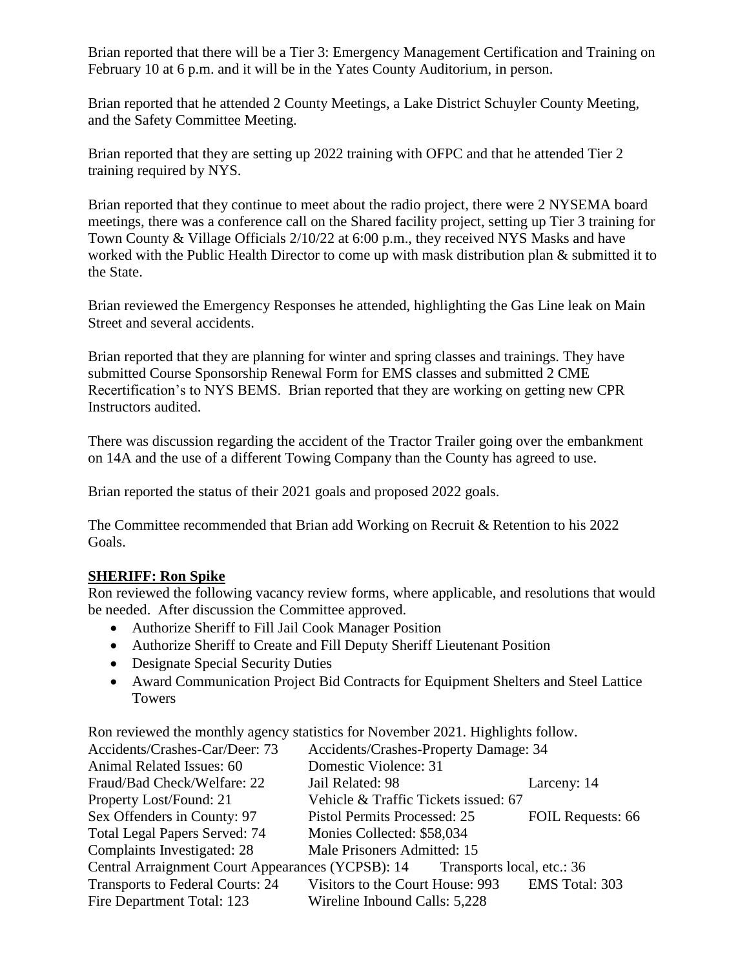Brian reported that there will be a Tier 3: Emergency Management Certification and Training on February 10 at 6 p.m. and it will be in the Yates County Auditorium, in person.

Brian reported that he attended 2 County Meetings, a Lake District Schuyler County Meeting, and the Safety Committee Meeting.

Brian reported that they are setting up 2022 training with OFPC and that he attended Tier 2 training required by NYS.

Brian reported that they continue to meet about the radio project, there were 2 NYSEMA board meetings, there was a conference call on the Shared facility project, setting up Tier 3 training for Town County & Village Officials 2/10/22 at 6:00 p.m., they received NYS Masks and have worked with the Public Health Director to come up with mask distribution plan & submitted it to the State.

Brian reviewed the Emergency Responses he attended, highlighting the Gas Line leak on Main Street and several accidents.

Brian reported that they are planning for winter and spring classes and trainings. They have submitted Course Sponsorship Renewal Form for EMS classes and submitted 2 CME Recertification's to NYS BEMS. Brian reported that they are working on getting new CPR Instructors audited.

There was discussion regarding the accident of the Tractor Trailer going over the embankment on 14A and the use of a different Towing Company than the County has agreed to use.

Brian reported the status of their 2021 goals and proposed 2022 goals.

The Committee recommended that Brian add Working on Recruit & Retention to his 2022 Goals.

## **SHERIFF: Ron Spike**

Ron reviewed the following vacancy review forms, where applicable, and resolutions that would be needed. After discussion the Committee approved.

- Authorize Sheriff to Fill Jail Cook Manager Position
- Authorize Sheriff to Create and Fill Deputy Sheriff Lieutenant Position
- Designate Special Security Duties
- Award Communication Project Bid Contracts for Equipment Shelters and Steel Lattice Towers

Ron reviewed the monthly agency statistics for November 2021. Highlights follow.

| Accidents/Crashes-Car/Deer: 73          | Accidents/Crashes-Property Damage: 34                                        |                   |  |  |  |  |
|-----------------------------------------|------------------------------------------------------------------------------|-------------------|--|--|--|--|
| Animal Related Issues: 60               | Domestic Violence: 31                                                        |                   |  |  |  |  |
| Fraud/Bad Check/Welfare: 22             | Jail Related: 98                                                             | Larceny: 14       |  |  |  |  |
| Property Lost/Found: 21                 | Vehicle & Traffic Tickets issued: 67                                         |                   |  |  |  |  |
| Sex Offenders in County: 97             | <b>Pistol Permits Processed: 25</b>                                          | FOIL Requests: 66 |  |  |  |  |
| <b>Total Legal Papers Served: 74</b>    | Monies Collected: \$58,034                                                   |                   |  |  |  |  |
| Complaints Investigated: 28             | Male Prisoners Admitted: 15                                                  |                   |  |  |  |  |
|                                         | Central Arraignment Court Appearances (YCPSB): 14 Transports local, etc.: 36 |                   |  |  |  |  |
| <b>Transports to Federal Courts: 24</b> | Visitors to the Court House: 993                                             | EMS Total: 303    |  |  |  |  |
| Fire Department Total: 123              | Wireline Inbound Calls: 5,228                                                |                   |  |  |  |  |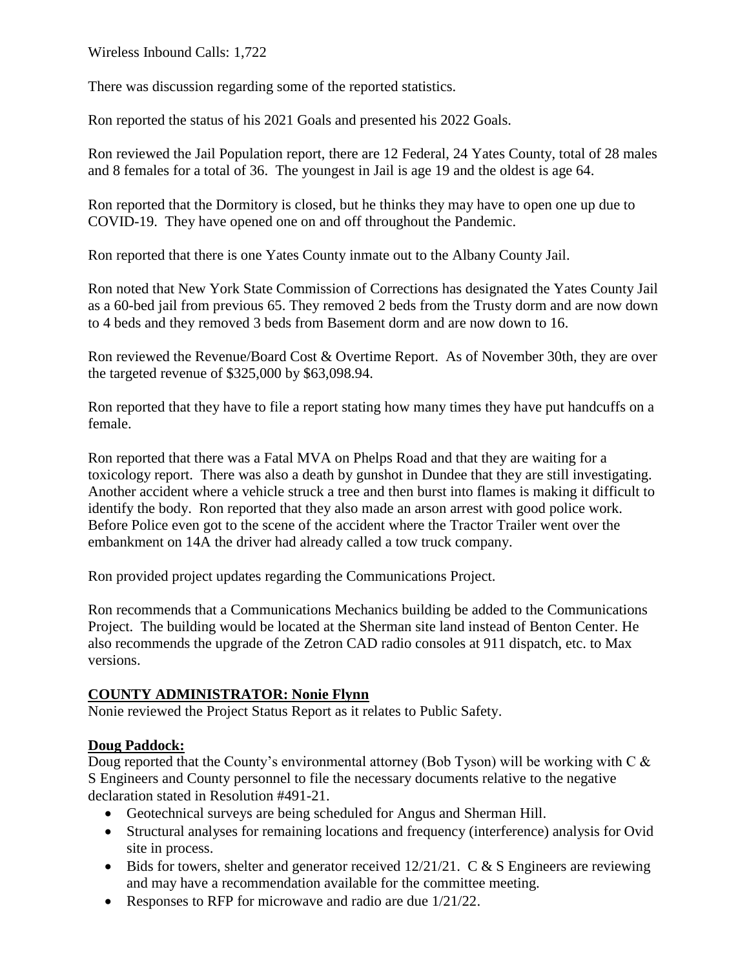Wireless Inbound Calls: 1,722

There was discussion regarding some of the reported statistics.

Ron reported the status of his 2021 Goals and presented his 2022 Goals.

Ron reviewed the Jail Population report, there are 12 Federal, 24 Yates County, total of 28 males and 8 females for a total of 36. The youngest in Jail is age 19 and the oldest is age 64.

Ron reported that the Dormitory is closed, but he thinks they may have to open one up due to COVID-19. They have opened one on and off throughout the Pandemic.

Ron reported that there is one Yates County inmate out to the Albany County Jail.

Ron noted that New York State Commission of Corrections has designated the Yates County Jail as a 60-bed jail from previous 65. They removed 2 beds from the Trusty dorm and are now down to 4 beds and they removed 3 beds from Basement dorm and are now down to 16.

Ron reviewed the Revenue/Board Cost & Overtime Report. As of November 30th, they are over the targeted revenue of \$325,000 by \$63,098.94.

Ron reported that they have to file a report stating how many times they have put handcuffs on a female.

Ron reported that there was a Fatal MVA on Phelps Road and that they are waiting for a toxicology report. There was also a death by gunshot in Dundee that they are still investigating. Another accident where a vehicle struck a tree and then burst into flames is making it difficult to identify the body. Ron reported that they also made an arson arrest with good police work. Before Police even got to the scene of the accident where the Tractor Trailer went over the embankment on 14A the driver had already called a tow truck company.

Ron provided project updates regarding the Communications Project.

Ron recommends that a Communications Mechanics building be added to the Communications Project. The building would be located at the Sherman site land instead of Benton Center. He also recommends the upgrade of the Zetron CAD radio consoles at 911 dispatch, etc. to Max versions.

## **COUNTY ADMINISTRATOR: Nonie Flynn**

Nonie reviewed the Project Status Report as it relates to Public Safety.

## **Doug Paddock:**

Doug reported that the County's environmental attorney (Bob Tyson) will be working with C & S Engineers and County personnel to file the necessary documents relative to the negative declaration stated in Resolution #491-21.

- Geotechnical surveys are being scheduled for Angus and Sherman Hill.
- Structural analyses for remaining locations and frequency (interference) analysis for Ovid site in process.
- $\bullet$  Bids for towers, shelter and generator received 12/21/21. C & S Engineers are reviewing and may have a recommendation available for the committee meeting.
- Responses to RFP for microwave and radio are due  $1/21/22$ .